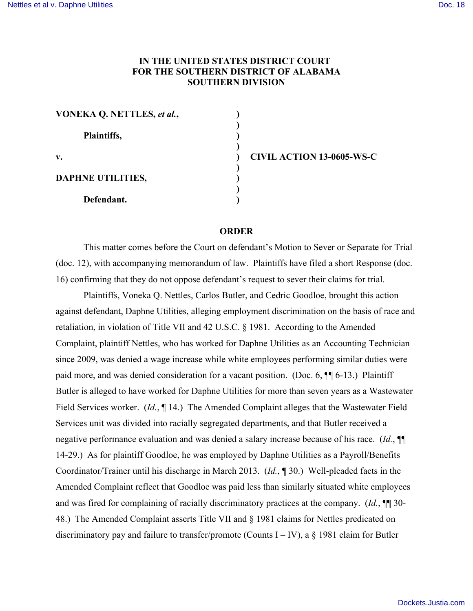## **IN THE UNITED STATES DISTRICT COURT FOR THE SOUTHERN DISTRICT OF ALABAMA SOUTHERN DIVISION**

**)**

**)**

 **)**

| VONEKA Q. NETTLES, et al., |  |
|----------------------------|--|
| Plaintiffs,                |  |
| v.                         |  |
| <b>DAPHNE UTILITIES,</b>   |  |
| Defendant.                 |  |

**v. ) CIVIL ACTION 13-0605-WS-C**

## **ORDER**

This matter comes before the Court on defendant's Motion to Sever or Separate for Trial (doc. 12), with accompanying memorandum of law. Plaintiffs have filed a short Response (doc. 16) confirming that they do not oppose defendant's request to sever their claims for trial.

Plaintiffs, Voneka Q. Nettles, Carlos Butler, and Cedric Goodloe, brought this action against defendant, Daphne Utilities, alleging employment discrimination on the basis of race and retaliation, in violation of Title VII and 42 U.S.C. § 1981. According to the Amended Complaint, plaintiff Nettles, who has worked for Daphne Utilities as an Accounting Technician since 2009, was denied a wage increase while white employees performing similar duties were paid more, and was denied consideration for a vacant position. (Doc. 6, ¶¶ 6-13.) Plaintiff Butler is alleged to have worked for Daphne Utilities for more than seven years as a Wastewater Field Services worker. (*Id.*, ¶ 14.) The Amended Complaint alleges that the Wastewater Field Services unit was divided into racially segregated departments, and that Butler received a negative performance evaluation and was denied a salary increase because of his race. (*Id.*, ¶¶ 14-29.) As for plaintiff Goodloe, he was employed by Daphne Utilities as a Payroll/Benefits Coordinator/Trainer until his discharge in March 2013. (*Id.*, ¶ 30.) Well-pleaded facts in the Amended Complaint reflect that Goodloe was paid less than similarly situated white employees and was fired for complaining of racially discriminatory practices at the company. (*Id.*, ¶¶ 30- 48.) The Amended Complaint asserts Title VII and § 1981 claims for Nettles predicated on discriminatory pay and failure to transfer/promote (Counts I – IV), a  $\S$  1981 claim for Butler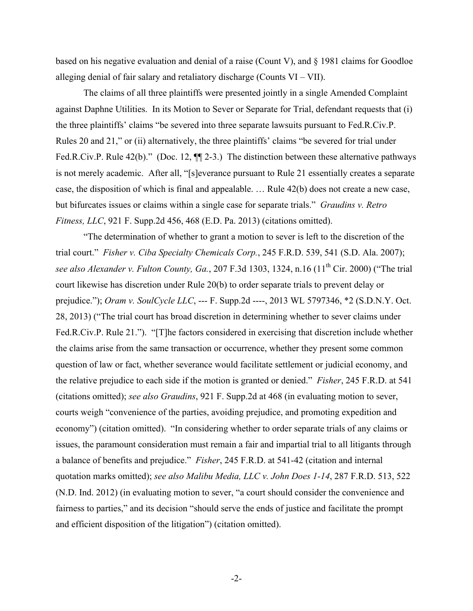based on his negative evaluation and denial of a raise (Count V), and  $\S$  1981 claims for Goodloe alleging denial of fair salary and retaliatory discharge (Counts VI – VII).

The claims of all three plaintiffs were presented jointly in a single Amended Complaint against Daphne Utilities. In its Motion to Sever or Separate for Trial, defendant requests that (i) the three plaintiffs' claims "be severed into three separate lawsuits pursuant to Fed.R.Civ.P. Rules 20 and 21," or (ii) alternatively, the three plaintiffs' claims "be severed for trial under Fed.R.Civ.P. Rule 42(b)." (Doc. 12,  $\P$ [2-3.) The distinction between these alternative pathways is not merely academic. After all, "[s]everance pursuant to Rule 21 essentially creates a separate case, the disposition of which is final and appealable. … Rule 42(b) does not create a new case, but bifurcates issues or claims within a single case for separate trials." *Graudins v. Retro Fitness, LLC*, 921 F. Supp.2d 456, 468 (E.D. Pa. 2013) (citations omitted).

"The determination of whether to grant a motion to sever is left to the discretion of the trial court." *Fisher v. Ciba Specialty Chemicals Corp.*, 245 F.R.D. 539, 541 (S.D. Ala. 2007); *see also Alexander v. Fulton County, Ga.*, 207 F.3d 1303, 1324, n.16 (11th Cir. 2000) ("The trial court likewise has discretion under Rule 20(b) to order separate trials to prevent delay or prejudice."); *Oram v. SoulCycle LLC*, --- F. Supp.2d ----, 2013 WL 5797346, \*2 (S.D.N.Y. Oct. 28, 2013) ("The trial court has broad discretion in determining whether to sever claims under Fed.R.Civ.P. Rule 21."). "[T]he factors considered in exercising that discretion include whether the claims arise from the same transaction or occurrence, whether they present some common question of law or fact, whether severance would facilitate settlement or judicial economy, and the relative prejudice to each side if the motion is granted or denied." *Fisher*, 245 F.R.D. at 541 (citations omitted); *see also Graudins*, 921 F. Supp.2d at 468 (in evaluating motion to sever, courts weigh "convenience of the parties, avoiding prejudice, and promoting expedition and economy") (citation omitted). "In considering whether to order separate trials of any claims or issues, the paramount consideration must remain a fair and impartial trial to all litigants through a balance of benefits and prejudice." *Fisher*, 245 F.R.D. at 541-42 (citation and internal quotation marks omitted); *see also Malibu Media, LLC v. John Does 1-14*, 287 F.R.D. 513, 522 (N.D. Ind. 2012) (in evaluating motion to sever, "a court should consider the convenience and fairness to parties," and its decision "should serve the ends of justice and facilitate the prompt and efficient disposition of the litigation") (citation omitted).

-2-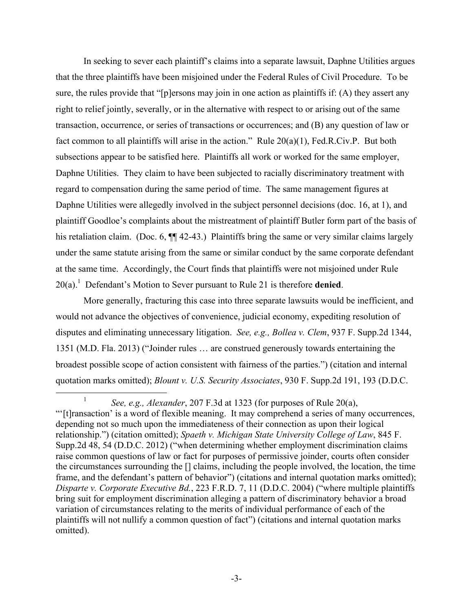In seeking to sever each plaintiff's claims into a separate lawsuit, Daphne Utilities argues that the three plaintiffs have been misjoined under the Federal Rules of Civil Procedure. To be sure, the rules provide that "[p]ersons may join in one action as plaintiffs if: (A) they assert any right to relief jointly, severally, or in the alternative with respect to or arising out of the same transaction, occurrence, or series of transactions or occurrences; and (B) any question of law or fact common to all plaintiffs will arise in the action." Rule 20(a)(1), Fed.R.Civ.P. But both subsections appear to be satisfied here. Plaintiffs all work or worked for the same employer, Daphne Utilities. They claim to have been subjected to racially discriminatory treatment with regard to compensation during the same period of time. The same management figures at Daphne Utilities were allegedly involved in the subject personnel decisions (doc. 16, at 1), and plaintiff Goodloe's complaints about the mistreatment of plaintiff Butler form part of the basis of his retaliation claim. (Doc. 6,  $\P$  42-43.) Plaintiffs bring the same or very similar claims largely under the same statute arising from the same or similar conduct by the same corporate defendant at the same time. Accordingly, the Court finds that plaintiffs were not misjoined under Rule 20(a). 1 Defendant's Motion to Sever pursuant to Rule 21 is therefore **denied**.

More generally, fracturing this case into three separate lawsuits would be inefficient, and would not advance the objectives of convenience, judicial economy, expediting resolution of disputes and eliminating unnecessary litigation. *See, e.g., Bollea v. Clem*, 937 F. Supp.2d 1344, 1351 (M.D. Fla. 2013) ("Joinder rules … are construed generously towards entertaining the broadest possible scope of action consistent with fairness of the parties.") (citation and internal quotation marks omitted); *Blount v. U.S. Security Associates*, 930 F. Supp.2d 191, 193 (D.D.C.

 <sup>1</sup> *See, e.g., Alexander*, 207 F.3d at 1323 (for purposes of Rule 20(a), "'[t]ransaction' is a word of flexible meaning. It may comprehend a series of many occurrences, depending not so much upon the immediateness of their connection as upon their logical relationship.") (citation omitted); *Spaeth v. Michigan State University College of Law*, 845 F. Supp.2d 48, 54 (D.D.C. 2012) ("when determining whether employment discrimination claims raise common questions of law or fact for purposes of permissive joinder, courts often consider the circumstances surrounding the [] claims, including the people involved, the location, the time frame, and the defendant's pattern of behavior") (citations and internal quotation marks omitted); *Disparte v. Corporate Executive Bd.*, 223 F.R.D. 7, 11 (D.D.C. 2004) ("where multiple plaintiffs bring suit for employment discrimination alleging a pattern of discriminatory behavior a broad variation of circumstances relating to the merits of individual performance of each of the plaintiffs will not nullify a common question of fact") (citations and internal quotation marks omitted).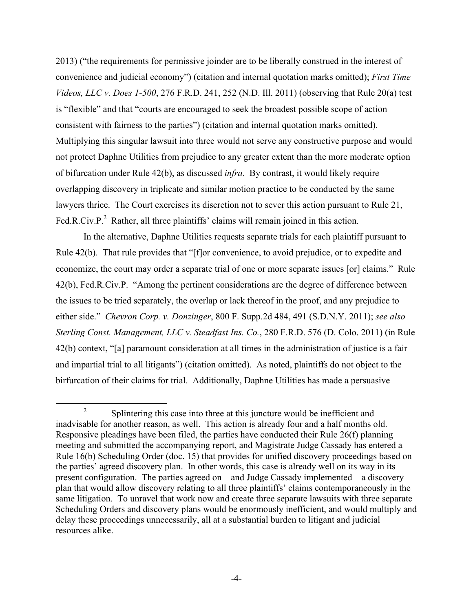2013) ("the requirements for permissive joinder are to be liberally construed in the interest of convenience and judicial economy") (citation and internal quotation marks omitted); *First Time Videos, LLC v. Does 1-500*, 276 F.R.D. 241, 252 (N.D. Ill. 2011) (observing that Rule 20(a) test is "flexible" and that "courts are encouraged to seek the broadest possible scope of action consistent with fairness to the parties") (citation and internal quotation marks omitted). Multiplying this singular lawsuit into three would not serve any constructive purpose and would not protect Daphne Utilities from prejudice to any greater extent than the more moderate option of bifurcation under Rule 42(b), as discussed *infra*. By contrast, it would likely require overlapping discovery in triplicate and similar motion practice to be conducted by the same lawyers thrice. The Court exercises its discretion not to sever this action pursuant to Rule 21, Fed.R.Civ.P.<sup>2</sup> Rather, all three plaintiffs' claims will remain joined in this action.

In the alternative, Daphne Utilities requests separate trials for each plaintiff pursuant to Rule 42(b). That rule provides that "[f]or convenience, to avoid prejudice, or to expedite and economize, the court may order a separate trial of one or more separate issues [or] claims." Rule 42(b), Fed.R.Civ.P. "Among the pertinent considerations are the degree of difference between the issues to be tried separately, the overlap or lack thereof in the proof, and any prejudice to either side." *Chevron Corp. v. Donzinger*, 800 F. Supp.2d 484, 491 (S.D.N.Y. 2011); *see also Sterling Const. Management, LLC v. Steadfast Ins. Co.*, 280 F.R.D. 576 (D. Colo. 2011) (in Rule 42(b) context, "[a] paramount consideration at all times in the administration of justice is a fair and impartial trial to all litigants") (citation omitted). As noted, plaintiffs do not object to the birfurcation of their claims for trial. Additionally, Daphne Utilities has made a persuasive

<sup>&</sup>lt;sup>2</sup> Splintering this case into three at this juncture would be inefficient and inadvisable for another reason, as well. This action is already four and a half months old. Responsive pleadings have been filed, the parties have conducted their Rule 26(f) planning meeting and submitted the accompanying report, and Magistrate Judge Cassady has entered a Rule 16(b) Scheduling Order (doc. 15) that provides for unified discovery proceedings based on the parties' agreed discovery plan. In other words, this case is already well on its way in its present configuration. The parties agreed on – and Judge Cassady implemented – a discovery plan that would allow discovery relating to all three plaintiffs' claims contemporaneously in the same litigation. To unravel that work now and create three separate lawsuits with three separate Scheduling Orders and discovery plans would be enormously inefficient, and would multiply and delay these proceedings unnecessarily, all at a substantial burden to litigant and judicial resources alike.